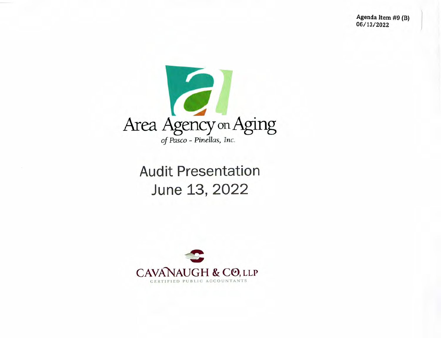**Agenda Item #9 (B) 06/1 3/2022** 



### Audit Presentation June 13, 2022

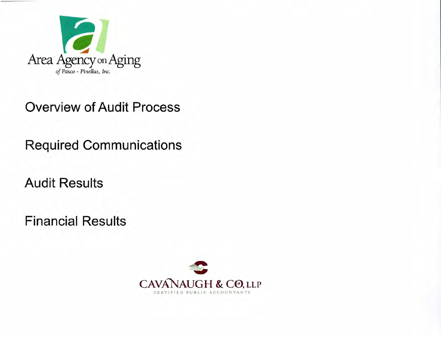

#### **Overview of Audit Process**

**Required Communications** 

**Audit Results** 

**Financial Results** 

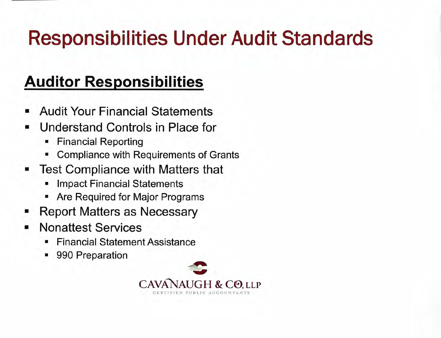# **Responsibilities Under Audit Standards**

### **Auditor Responsibilities**

- Audit Your Financial Statements ш
- Understand Controls in Place for
	- Financial Reporting
	- Compliance with Requirements of Grants
- Test Compliance with Matters that
	- Impact Financial Statements
	- Are Required for Major Programs
- Report Matters as Necessary
- Nonattest Services
	- Financial Statement Assistance
	- 990 Preparation

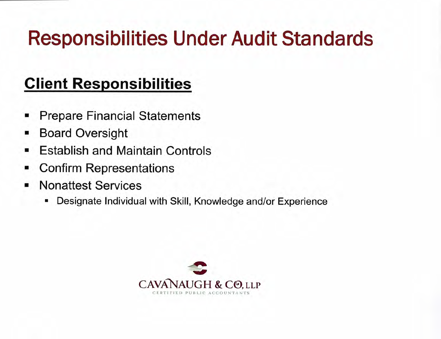# **Responsibilities Under Audit Standards**

## **Client Responsibilities**

- Prepare Financial Statements
- Board Oversight
- Establish and Maintain Controls
- Confirm Representations п
- Nonattest Services
	- Designate Individual with Skill, Knowledge and/or Experience ш

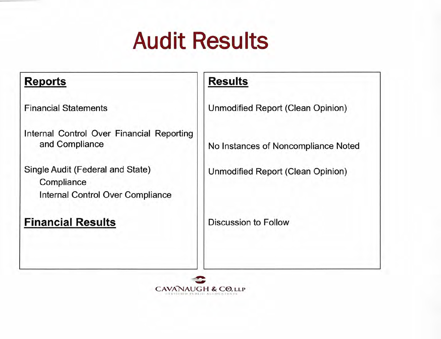# Audit Results

#### **Reports**

Financial Statements

Internal Control Over Financial Reporting and Compliance

Single Audit (Federal and State) **Compliance** Internal Control Over Compliance

#### **Financial Results**

#### **Results**

Unmodified Report (Clean Opinion)

No Instances of Noncompliance Noted

Unmodified Report (Clean Opinion)

Discussion to Follow

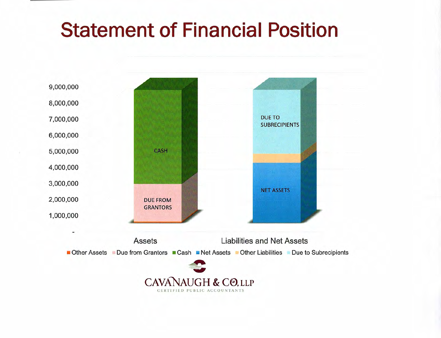## **Statement of Financial Position**

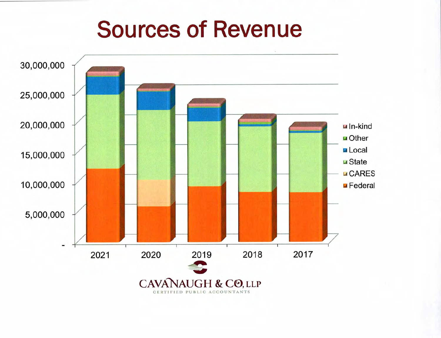# **Sources of Revenue**

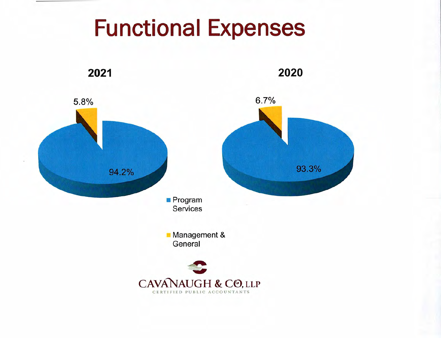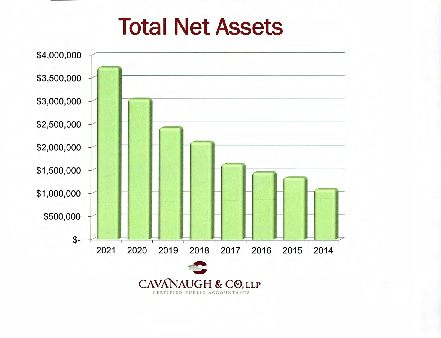# **Total Net Assets**

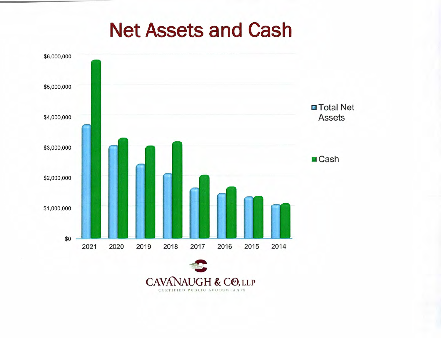## **Net Assets and Cash**



CERTIFIED PUBLIC ACCOUNTANTS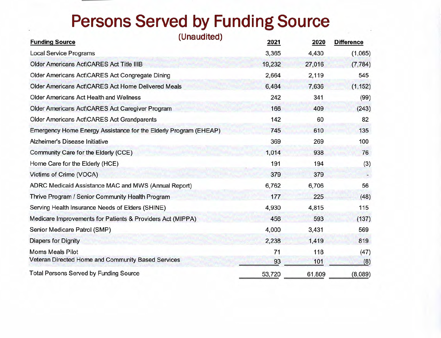## **Persons Served by Funding Source**

| <b>Funding Source</b>                                            | (Unaudited) | 2021   | 2020   | <b>Difference</b> |
|------------------------------------------------------------------|-------------|--------|--------|-------------------|
| <b>Local Service Programs</b>                                    |             | 3,365  | 4,430  | (1,065)           |
| <b>Older Americans Act\CARES Act Title IIIB</b>                  |             | 19,232 | 27,016 | (7, 784)          |
| Older Americans Act\CARES Act Congregate Dining                  |             | 2,664  | 2,119  | 545               |
| <b>Older Americans Act\CARES Act Home Delivered Meals</b>        |             | 6,484  | 7,636  | (1, 152)          |
| <b>Older Americans Act Health and Wellness</b>                   |             | 242    | 341    | (99)              |
| <b>Older Americans Act\CARES Act Caregiver Program</b>           |             | 166    | 409    | (243)             |
| Older Americans Act\CARES Act Grandparents                       |             | 142    | 60     | 82                |
| Emergency Home Energy Assistance for the Elderly Program (EHEAP) |             | 745    | 610    | 135               |
| Alzheimer's Disease Initiative                                   |             | 369    | 269    | 100               |
| Community Care for the Elderly (CCE)                             |             | 1,014  | 938    | 76                |
| Home Care for the Elderly (HCE)                                  |             | 191    | 194    | (3)               |
| Victims of Crime (VOCA)                                          |             | 379    | 379    |                   |
| ADRC Medicaid Assistance MAC and MWS (Annual Report)             |             | 6,762  | 6,706  | 56                |
| Thrive Program / Senior Community Health Program                 |             | 177    | 225    | (48)              |
| Serving Health Insurance Needs of Elders (SHINE)                 |             | 4,930  | 4,815  | 115               |
| Medicare Improvements for Patients & Providers Act (MIPPA)       |             | 456    | 593    | (137)             |
| Senior Medicare Patrol (SMP)                                     |             | 4,000  | 3,431  | 569               |
| <b>Diapers for Dignity</b>                                       |             | 2,238  | 1,419  | 819               |
| <b>Moms Meals Pilot</b>                                          |             | 71     | 118    | (47)              |
| Veteran Directed Home and Community Based Services               |             | 93     | 101    | (8)               |
| <b>Total Persons Served by Funding Source</b>                    |             | 53,720 | 61,809 | (8,089)           |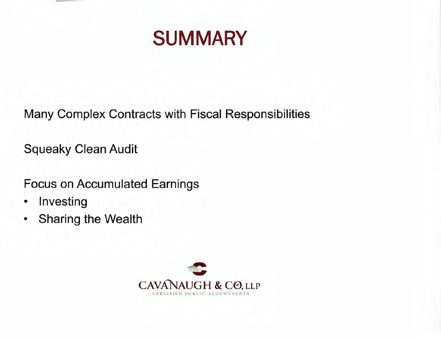

Many Complex Contracts with Fiscal Responsibilities

**Squeaky Clean Audit** 

**Focus on Accumulated Earnings** 

- Investing ٠
- Sharing the Wealth ٠